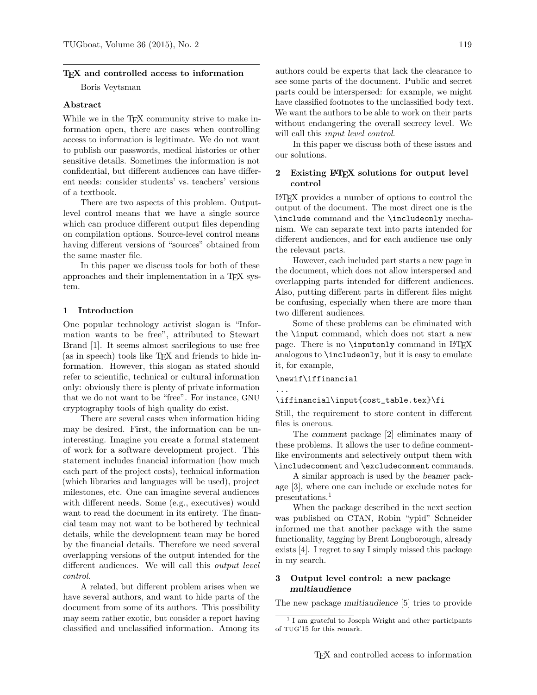# TEX and controlled access to information

Boris Veytsman

#### Abstract

While we in the T<sub>E</sub>X community strive to make information open, there are cases when controlling access to information is legitimate. We do not want to publish our passwords, medical histories or other sensitive details. Sometimes the information is not confidential, but different audiences can have different needs: consider students' vs. teachers' versions of a textbook.

There are two aspects of this problem. Outputlevel control means that we have a single source which can produce different output files depending on compilation options. Source-level control means having different versions of "sources" obtained from the same master file.

In this paper we discuss tools for both of these approaches and their implementation in a TEX system.

# 1 Introduction

One popular technology activist slogan is "Information wants to be free", attributed to Stewart Brand [\[1\]](#page-2-0). It seems almost sacrilegious to use free (as in speech) tools like TEX and friends to hide information. However, this slogan as stated should refer to scientific, technical or cultural information only: obviously there is plenty of private information that we do not want to be "free". For instance, GNU cryptography tools of high quality do exist.

There are several cases when information hiding may be desired. First, the information can be uninteresting. Imagine you create a formal statement of work for a software development project. This statement includes financial information (how much each part of the project costs), technical information (which libraries and languages will be used), project milestones, etc. One can imagine several audiences with different needs. Some (e.g., executives) would want to read the document in its entirety. The financial team may not want to be bothered by technical details, while the development team may be bored by the financial details. Therefore we need several overlapping versions of the output intended for the different audiences. We will call this output level control.

A related, but different problem arises when we have several authors, and want to hide parts of the document from some of its authors. This possibility may seem rather exotic, but consider a report having classified and unclassified information. Among its

authors could be experts that lack the clearance to see some parts of the document. Public and secret parts could be interspersed: for example, we might have classified footnotes to the unclassified body text. We want the authors to be able to work on their parts without endangering the overall secrecy level. We will call this *input level control*.

In this paper we discuss both of these issues and our solutions.

# 2 Existing LATEX solutions for output level control

LATEX provides a number of options to control the output of the document. The most direct one is the \include command and the \includeonly mechanism. We can separate text into parts intended for different audiences, and for each audience use only the relevant parts.

However, each included part starts a new page in the document, which does not allow interspersed and overlapping parts intended for different audiences. Also, putting different parts in different files might be confusing, especially when there are more than two different audiences.

Some of these problems can be eliminated with the \input command, which does not start a new page. There is no \inputonly command in LAT<sub>F</sub>X analogous to \includeonly, but it is easy to emulate it, for example,

### \newif\iffinancial

...

\iffinancial\input{cost\_table.tex}\fi

Still, the requirement to store content in different files is onerous.

The comment package [\[2\]](#page-2-1) eliminates many of these problems. It allows the user to define commentlike environments and selectively output them with \includecomment and \excludecomment commands.

A similar approach is used by the beamer package [\[3\]](#page-2-2), where one can include or exclude notes for presentations.<sup>[1](#page-0-0)</sup>

When the package described in the next section was published on CTAN, Robin "ypid" Schneider informed me that another package with the same functionality, tagging by Brent Longborough, already exists [\[4\]](#page-2-3). I regret to say I simply missed this package in my search.

# 3 Output level control: a new package multiaudience

The new package multiaudience [\[5\]](#page-2-4) tries to provide

<span id="page-0-0"></span><sup>&</sup>lt;sup>1</sup> I am grateful to Joseph Wright and other participants of TUG'15 for this remark.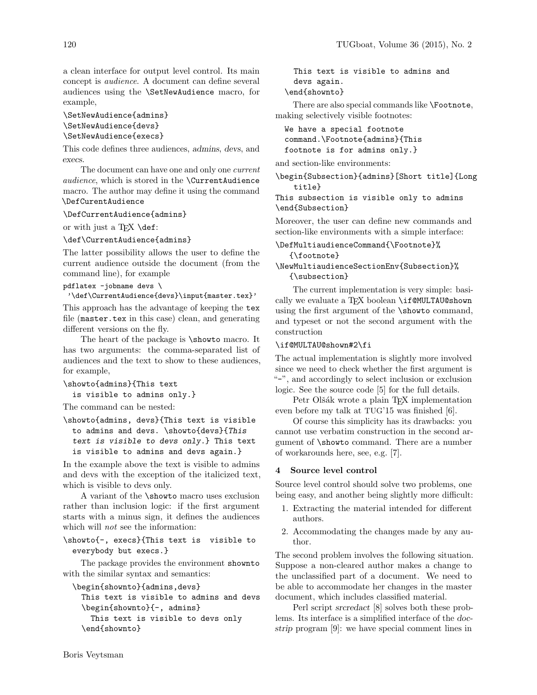a clean interface for output level control. Its main concept is audience. A document can define several audiences using the \SetNewAudience macro, for example,

```
\SetNewAudience{admins}
\SetNewAudience{devs}
\SetNewAudience{execs}
```
This code defines three audiences, admins, devs, and execs.

The document can have one and only one current audience, which is stored in the \CurrentAudience macro. The author may define it using the command \DefCurentAudience

#### \DefCurrentAudience{admins}

or with just a T<sub>FX</sub> \def:

### \def\CurrentAudience{admins}

The latter possibility allows the user to define the current audience outside the document (from the command line), for example

```
pdflatex -jobname devs \
```
'\def\CurrentAudience{devs}\input{master.tex}'

This approach has the advantage of keeping the tex file (master.tex in this case) clean, and generating different versions on the fly.

The heart of the package is \showto macro. It has two arguments: the comma-separated list of audiences and the text to show to these audiences, for example,

```
\showto{admins}{This text
  is visible to admins only.}
```
The command can be nested:

\showto{admins, devs}{This text is visible to admins and devs. \showto{devs}{This text is visible to devs only.} This text is visible to admins and devs again.}

In the example above the text is visible to admins and devs with the exception of the italicized text, which is visible to devs only.

A variant of the \showto macro uses exclusion rather than inclusion logic: if the first argument starts with a minus sign, it defines the audiences which will *not* see the information:

\showto{-, execs}{This text is visible to everybody but execs.}

The package provides the environment shownto with the similar syntax and semantics:

```
\begin{shownto}{admins,devs}
  This text is visible to admins and devs
  \begin{shownto}{-, admins}
    This text is visible to devs only
  \end{shownto}
```

```
This text is visible to admins and
 devs again.
\end{shownto}
```
There are also special commands like \Footnote, making selectively visible footnotes:

We have a special footnote command.\Footnote{admins}{This footnote is for admins only.}

and section-like environments:

\begin{Subsection}{admins}[Short title]{Long title}

This subsection is visible only to admins \end{Subsection}

Moreover, the user can define new commands and section-like environments with a simple interface:

\DefMultiaudienceCommand{\Footnote}% {\footnote}

```
\NewMultiaudienceSectionEnv{Subsection}%
   {\subsection}
```
The current implementation is very simple: basically we evaluate a  $TFX$  boolean  $\ifmmode\big\vert\else\fi$  \if@MULTAU@shown using the first argument of the \showto command, and typeset or not the second argument with the construction

## \if@MULTAU@shown#2\fi

The actual implementation is slightly more involved since we need to check whether the first argument is "-", and accordingly to select inclusion or exclusion logic. See the source code [\[5\]](#page-2-4) for the full details.

Petr Olšák wrote a plain T<sub>EX</sub> implementation even before my talk at TUG'15 was finished [\[6\]](#page-2-5).

Of course this simplicity has its drawbacks: you cannot use verbatim construction in the second argument of \showto command. There are a number of workarounds here, see, e.g. [\[7\]](#page-2-6).

### 4 Source level control

Source level control should solve two problems, one being easy, and another being slightly more difficult:

- 1. Extracting the material intended for different authors.
- 2. Accommodating the changes made by any author.

The second problem involves the following situation. Suppose a non-cleared author makes a change to the unclassified part of a document. We need to be able to accommodate her changes in the master document, which includes classified material.

Perl script srcredact [\[8\]](#page-2-7) solves both these problems. Its interface is a simplified interface of the docstrip program [\[9\]](#page-2-8): we have special comment lines in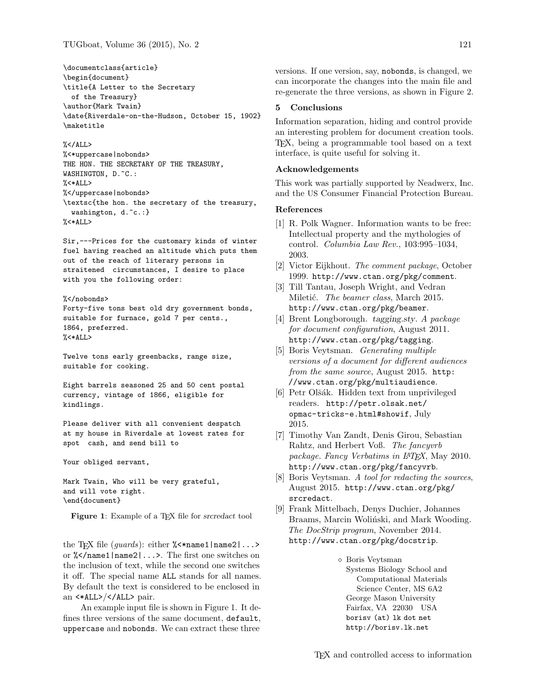\documentclass{article} \begin{document} \title{A Letter to the Secretary of the Treasury} \author{Mark Twain} \date{Riverdale-on-the-Hudson, October 15, 1902} \maketitle

#### %</ALL>

```
%<*uppercase|nobonds>
THE HON. THE SECRETARY OF THE TREASURY,
WASHINGTON, D.~C.:
%<*ALL>
%</uppercase|nobonds>
\textsc{the hon. the secretary of the treasury,
 washington, d."c.:}
%<*ALL>
```
Sir,---Prices for the customary kinds of winter fuel having reached an altitude which puts them out of the reach of literary persons in straitened circumstances, I desire to place with you the following order:

%</nobonds> Forty-five tons best old dry government bonds, suitable for furnace, gold 7 per cents., 1864, preferred. %<\*ALL>

Twelve tons early greenbacks, range size, suitable for cooking.

Eight barrels seasoned 25 and 50 cent postal currency, vintage of 1866, eligible for kindlings.

Please deliver with all convenient despatch at my house in Riverdale at lowest rates for spot cash, and send bill to

Your obliged servant,

Mark Twain, Who will be very grateful, and will vote right. \end{document}

<span id="page-2-9"></span>Figure 1: Example of a T<sub>F</sub>X file for srcredact tool

the T<sub>E</sub>X file (*guards*): either  $\frac{1}{2}$   $\frac{1}{2}$   $\frac{1}{2}$   $\frac{1}{2}$   $\frac{1}{2}$   $\frac{1}{2}$   $\frac{1}{2}$   $\frac{1}{2}$   $\frac{1}{2}$   $\frac{1}{2}$   $\frac{1}{2}$   $\frac{1}{2}$   $\frac{1}{2}$   $\frac{1}{2}$   $\frac{1}{2}$   $\frac{1}{2}$   $\frac{1}{2}$   $\frac{1}{2}$   $\frac{1}{2$ or %</name1|name2|...>. The first one switches on the inclusion of text, while the second one switches it off. The special name ALL stands for all names. By default the text is considered to be enclosed in an <\*ALL>/</ALL> pair.

An example input file is shown in Figure [1.](#page-2-9) It defines three versions of the same document, default, uppercase and nobonds. We can extract these three versions. If one version, say, nobonds, is changed, we can incorporate the changes into the main file and re-generate the three versions, as shown in Figure [2.](#page-3-0)

#### 5 Conclusions

Information separation, hiding and control provide an interesting problem for document creation tools. TEX, being a programmable tool based on a text interface, is quite useful for solving it.

#### Acknowledgements

This work was partially supported by Neadwerx, Inc. and the US Consumer Financial Protection Bureau.

### References

- <span id="page-2-0"></span>[1] R. Polk Wagner. Information wants to be free: Intellectual property and the mythologies of control. Columbia Law Rev., 103:995–1034, 2003.
- <span id="page-2-1"></span>[2] Victor Eijkhout. The comment package, October 1999. <http://www.ctan.org/pkg/comment>.
- <span id="page-2-2"></span>[3] Till Tantau, Joseph Wright, and Vedran Miletić. The beamer class, March 2015. <http://www.ctan.org/pkg/beamer>.
- <span id="page-2-3"></span>[4] Brent Longborough. tagging.sty. A package for document configuration, August 2011. <http://www.ctan.org/pkg/tagging>.
- <span id="page-2-4"></span>[5] Boris Veytsman. Generating multiple versions of a document for different audiences from the same source, August 2015. [http:](http://www.ctan.org/pkg/multiaudience) [//www.ctan.org/pkg/multiaudience](http://www.ctan.org/pkg/multiaudience).
- <span id="page-2-5"></span>[6] Petr Olšák. Hidden text from unprivileged readers. [http://petr.olsak.net/](http://petr.olsak.net/opmac-tricks-e.html#showif) [opmac-tricks-e.html#showif](http://petr.olsak.net/opmac-tricks-e.html#showif), July 2015.
- <span id="page-2-6"></span>[7] Timothy Van Zandt, Denis Girou, Sebastian Rahtz, and Herbert Voß. The fancyvrb package. Fancy Verbatims in LATEX, May 2010. <http://www.ctan.org/pkg/fancyvrb>.
- <span id="page-2-7"></span>[8] Boris Veytsman. A tool for redacting the sources, August 2015. [http://www.ctan.org/pkg/](http://www.ctan.org/pkg/srcredact) [srcredact](http://www.ctan.org/pkg/srcredact).
- <span id="page-2-8"></span>[9] Frank Mittelbach, Denys Duchier, Johannes Braams, Marcin Woliński, and Mark Wooding. The DocStrip program, November 2014. <http://www.ctan.org/pkg/docstrip>.
	- Boris Veytsman Systems Biology School and Computational Materials Science Center, MS 6A2 George Mason University Fairfax, VA 22030 USA borisv (at) lk dot net http://borisv.lk.net